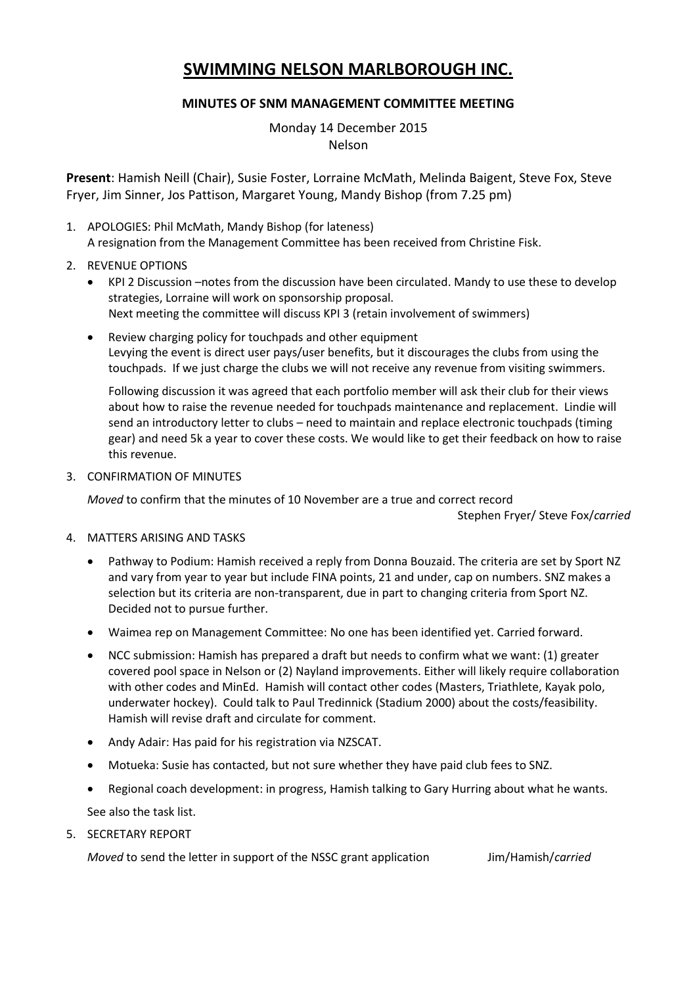## **SWIMMING NELSON MARLBOROUGH INC.**

## **MINUTES OF SNM MANAGEMENT COMMITTEE MEETING**

Monday 14 December 2015 Nelson

**Present**: Hamish Neill (Chair), Susie Foster, Lorraine McMath, Melinda Baigent, Steve Fox, Steve Fryer, Jim Sinner, Jos Pattison, Margaret Young, Mandy Bishop (from 7.25 pm)

- 1. APOLOGIES: Phil McMath, Mandy Bishop (for lateness) A resignation from the Management Committee has been received from Christine Fisk.
- 2. REVENUE OPTIONS
	- KPI 2 Discussion –notes from the discussion have been circulated. Mandy to use these to develop strategies, Lorraine will work on sponsorship proposal. Next meeting the committee will discuss KPI 3 (retain involvement of swimmers)
	- Review charging policy for touchpads and other equipment Levying the event is direct user pays/user benefits, but it discourages the clubs from using the touchpads. If we just charge the clubs we will not receive any revenue from visiting swimmers.

Following discussion it was agreed that each portfolio member will ask their club for their views about how to raise the revenue needed for touchpads maintenance and replacement. Lindie will send an introductory letter to clubs – need to maintain and replace electronic touchpads (timing gear) and need 5k a year to cover these costs. We would like to get their feedback on how to raise this revenue.

3. CONFIRMATION OF MINUTES

*Moved* to confirm that the minutes of 10 November are a true and correct record

Stephen Fryer/ Steve Fox/*carried*

- 4. MATTERS ARISING AND TASKS
	- Pathway to Podium: Hamish received a reply from Donna Bouzaid. The criteria are set by Sport NZ and vary from year to year but include FINA points, 21 and under, cap on numbers. SNZ makes a selection but its criteria are non-transparent, due in part to changing criteria from Sport NZ. Decided not to pursue further.
	- Waimea rep on Management Committee: No one has been identified yet. Carried forward.
	- NCC submission: Hamish has prepared a draft but needs to confirm what we want: (1) greater covered pool space in Nelson or (2) Nayland improvements. Either will likely require collaboration with other codes and MinEd. Hamish will contact other codes (Masters, Triathlete, Kayak polo, underwater hockey). Could talk to Paul Tredinnick (Stadium 2000) about the costs/feasibility. Hamish will revise draft and circulate for comment.
	- Andy Adair: Has paid for his registration via NZSCAT.
	- Motueka: Susie has contacted, but not sure whether they have paid club fees to SNZ.
	- Regional coach development: in progress, Hamish talking to Gary Hurring about what he wants.

See also the task list.

5. SECRETARY REPORT

*Moved* to send the letter in support of the NSSC grant application Jim/Hamish/*carried*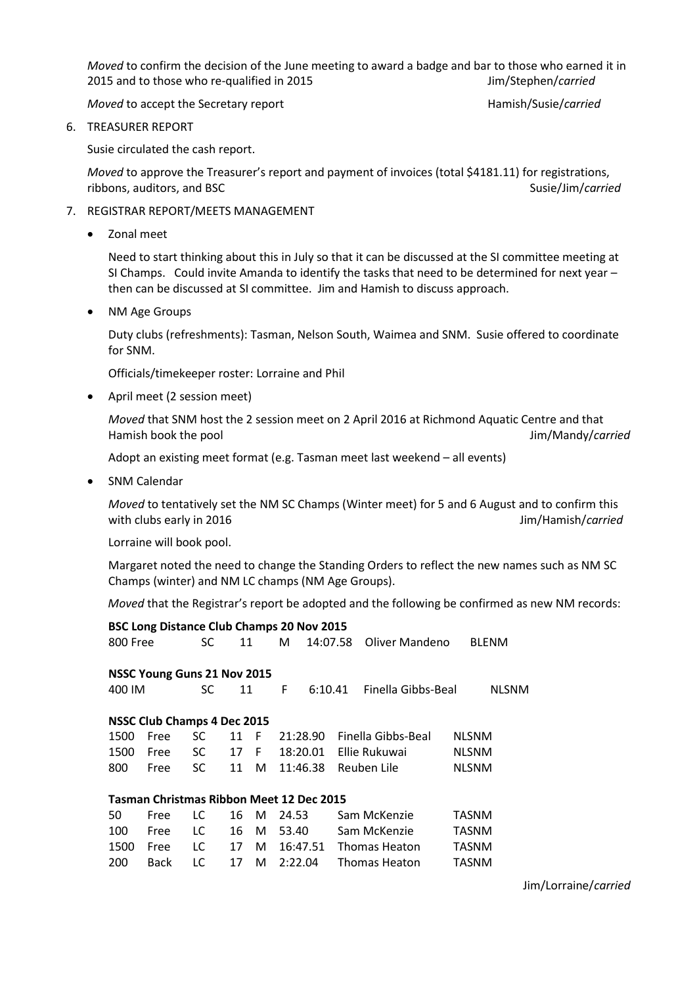*Moved* to confirm the decision of the June meeting to award a badge and bar to those who earned it in 2015 and to those who re-qualified in 2015 Jim/Stephen/*carried*

*Moved* to accept the Secretary report **Hamish/Susie/***carried* Hamish/Susie/*carried* 

6. TREASURER REPORT

Susie circulated the cash report.

*Moved* to approve the Treasurer's report and payment of invoices (total \$4181.11) for registrations, ribbons, auditors, and BSC and Susie/Jim/*carried* Susie/Jim/*carried* 

- 7. REGISTRAR REPORT/MEETS MANAGEMENT
	- Zonal meet

Need to start thinking about this in July so that it can be discussed at the SI committee meeting at SI Champs. Could invite Amanda to identify the tasks that need to be determined for next year – then can be discussed at SI committee. Jim and Hamish to discuss approach.

NM Age Groups

Duty clubs (refreshments): Tasman, Nelson South, Waimea and SNM. Susie offered to coordinate for SNM.

Officials/timekeeper roster: Lorraine and Phil

April meet (2 session meet)

*Moved* that SNM host the 2 session meet on 2 April 2016 at Richmond Aquatic Centre and that Hamish book the pool Jim/Mandy/*carried*

Adopt an existing meet format (e.g. Tasman meet last weekend – all events)

• SNM Calendar

*Moved* to tentatively set the NM SC Champs (Winter meet) for 5 and 6 August and to confirm this with clubs early in 2016 **Jim/Hamish/***carried* Jim/Hamish/*carried* 

Lorraine will book pool.

Margaret noted the need to change the Standing Orders to reflect the new names such as NM SC Champs (winter) and NM LC champs (NM Age Groups).

*Moved* that the Registrar's report be adopted and the following be confirmed as new NM records:

| <b>BSC Long Distance Club Champs 20 Nov 2015</b> |             |           |    |     |          |          |                    |              |              |  |
|--------------------------------------------------|-------------|-----------|----|-----|----------|----------|--------------------|--------------|--------------|--|
| 800 Free                                         |             | SC        | 11 |     | M        | 14:07.58 | Oliver Mandeno     | <b>BLENM</b> |              |  |
| NSSC Young Guns 21 Nov 2015                      |             |           |    |     |          |          |                    |              |              |  |
| 400 IM                                           |             | SC        | 11 |     | F        | 6:10.41  | Finella Gibbs-Beal |              | <b>NLSNM</b> |  |
| <b>NSSC Club Champs 4 Dec 2015</b>               |             |           |    |     |          |          |                    |              |              |  |
| 1500                                             | Free        | SC        | 11 | - F | 21:28.90 |          | Finella Gibbs-Beal | <b>NLSNM</b> |              |  |
| 1500                                             | Free        | <b>SC</b> | 17 | - F | 18:20.01 |          | Ellie Rukuwai      | <b>NLSNM</b> |              |  |
| 800                                              | Free        | SC.       | 11 | M   | 11:46.38 |          | Reuben Lile        | <b>NLSNM</b> |              |  |
| Tasman Christmas Ribbon Meet 12 Dec 2015         |             |           |    |     |          |          |                    |              |              |  |
| 50                                               | Free        | LC        | 16 | M   | 24.53    |          | Sam McKenzie       | TASNM        |              |  |
| 100                                              | Free        | LC.       | 16 | M   | 53.40    |          | Sam McKenzie       | TASNM        |              |  |
| 1500                                             | Free        | LC        | 17 | M   | 16:47.51 |          | Thomas Heaton      | TASNM        |              |  |
| 200                                              | <b>Back</b> | LC        | 17 | М   | 2:22.04  |          | Thomas Heaton      | TASNM        |              |  |

Jim/Lorraine/*carried*